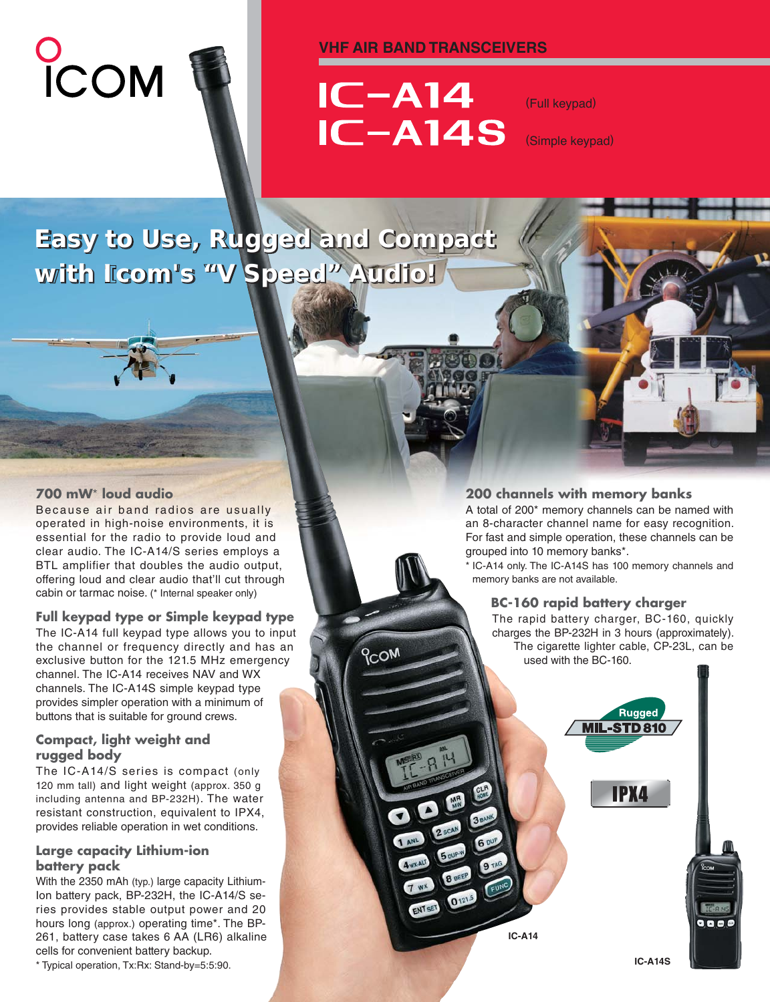#### **VHF AIR BAND TRANSCEIVERS**





# $IC-<sub>A14</sub>$ **IC-A14S**

**PCOM** 

 $7 w x$ 

ENTSET 0121.5

(Full keypad)

(Simple keypad)

### **Easy to Use, Rugged and Compact Easy to Use, Rugged and Compact with Icom's "V Speed" Audio! with Icom's "V Speed" Audio!**

#### **700 mW**\* **loud audio**

Because air band radios are usually operated in high-noise environments, it is essential for the radio to provide loud and clear audio. The IC-A14/S series employs a BTL amplifier that doubles the audio output, offering loud and clear audio that'll cut through cabin or tarmac noise. (\* Internal speaker only)

#### **Full keypad type or Simple keypad type**

The IC-A14 full keypad type allows you to input the channel or frequency directly and has an exclusive button for the 121.5 MHz emergency channel. The IC-A14 receives NAV and WX channels. The IC-A14S simple keypad type provides simpler operation with a minimum of buttons that is suitable for ground crews.

#### **Compact, light weight and rugged body**

The IC-A14/S series is compact (only 120 mm tall) and light weight (approx. 350 g including antenna and BP-232H). The water resistant construction, equivalent to IPX4, provides reliable operation in wet conditions.

#### **Large capacity Lithium-ion battery pack**

With the 2350 mAh (typ.) large capacity Lithium-Ion battery pack, BP-232H, the IC-A14/S series provides stable output power and 20 hours long (approx.) operating time\*. The BP-261, battery case takes 6 AA (LR6) alkaline cells for convenient battery backup.

\* Typical operation, Tx:Rx: Stand-by=5:5:90. **IC-A14S**

#### **200 channels with memory banks**

A total of 200\* memory channels can be named with an 8-character channel name for easy recognition. For fast and simple operation, these channels can be grouped into 10 memory banks\*.

\* IC-A14 only. The IC-A14S has 100 memory channels and memory banks are not available.

#### **BC-160 rapid battery charger**

The rapid battery charger, BC-160, quickly charges the BP-232H in 3 hours (approximately). The cigarette lighter cable, CP-23L, can be used with the BC-160.



**IC-A14**

 $0000$